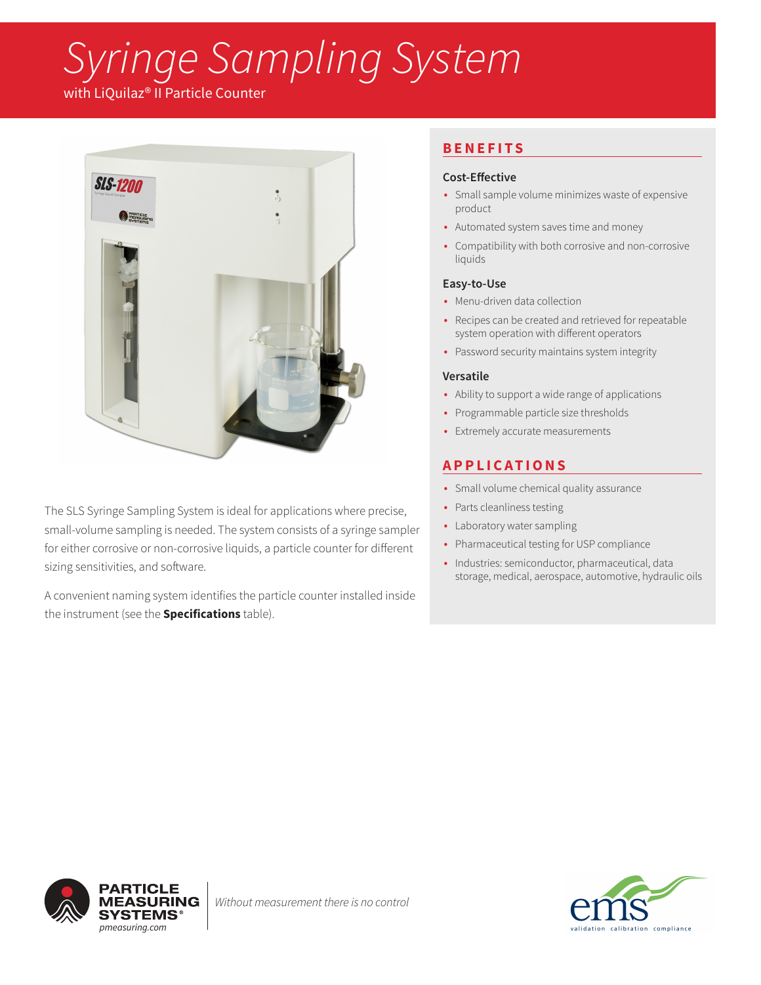# *Syringe Sampling System*

with LiQuilaz® II Particle Counter



The SLS Syringe Sampling System is ideal for applications where precise, small-volume sampling is needed. The system consists of a syringe sampler for either corrosive or non-corrosive liquids, a particle counter for different sizing sensitivities, and software.

A convenient naming system identifies the particle counter installed inside the instrument (see the **Specifications** table).

## **BENEFITS**

### **Cost-Effective**

- Small sample volume minimizes waste of expensive product
- Automated system saves time and money
- Compatibility with both corrosive and non-corrosive liquids

### **Easy-to-Use**

- Menu-driven data collection
- Recipes can be created and retrieved for repeatable system operation with different operators
- Password security maintains system integrity

### **Versatile**

- Ability to support a wide range of applications
- Programmable particle size thresholds
- Extremely accurate measurements

## **APPLICATIONS**

- Small volume chemical quality assurance
- Parts cleanliness testing
- Laboratory water sampling
- Pharmaceutical testing for USP compliance
- Industries: semiconductor, pharmaceutical, data storage, medical, aerospace, automotive, hydraulic oils